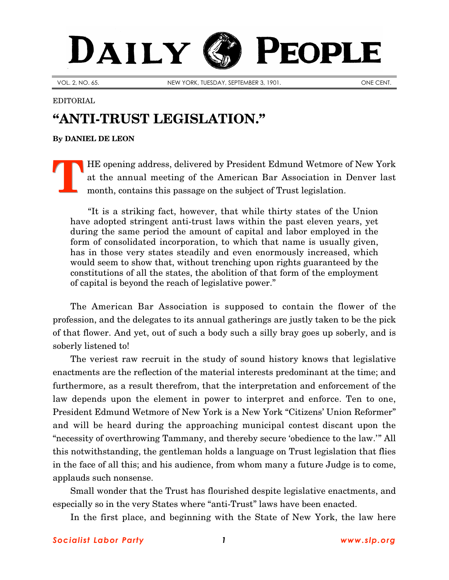## DAILY PEOPLE

VOL. 2, NO. 65. NEW YORK, TUESDAY, SEPTEMBER 3, 1901.

## EDITORIAL

## **"ANTI-TRUST LEGISLATION."**

**By [DANIEL DE LEON](http://www.slp.org/De_Leon.htm)**

HE opening address, delivered by President Edmund Wetmore of New York at the annual meeting of the American Bar Association in Denver last month, contains this passage on the subject of Trust legislation. **T**

"It is a striking fact, however, that while thirty states of the Union have adopted stringent anti-trust laws within the past eleven years, yet during the same period the amount of capital and labor employed in the form of consolidated incorporation, to which that name is usually given, has in those very states steadily and even enormously increased, which would seem to show that, without trenching upon rights guaranteed by the constitutions of all the states, the abolition of that form of the employment of capital is beyond the reach of legislative power."

The American Bar Association is supposed to contain the flower of the profession, and the delegates to its annual gatherings are justly taken to be the pick of that flower. And yet, out of such a body such a silly bray goes up soberly, and is soberly listened to!

The veriest raw recruit in the study of sound history knows that legislative enactments are the reflection of the material interests predominant at the time; and furthermore, as a result therefrom, that the interpretation and enforcement of the law depends upon the element in power to interpret and enforce. Ten to one, President Edmund Wetmore of New York is a New York "Citizens' Union Reformer" and will be heard during the approaching municipal contest discant upon the "necessity of overthrowing Tammany, and thereby secure 'obedience to the law.'" All this notwithstanding, the gentleman holds a language on Trust legislation that flies in the face of all this; and his audience, from whom many a future Judge is to come, applauds such nonsense.

Small wonder that the Trust has flourished despite legislative enactments, and especially so in the very States where "anti-Trust" laws have been enacted.

In the first place, and beginning with the State of New York, the law here